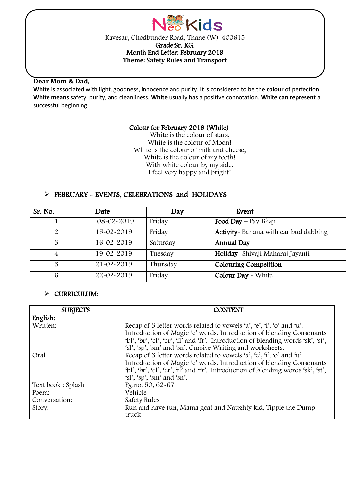

### **Dear Mom & Dad,**

l

**White** is associated with light, goodness, innocence and purity. It is considered to be the **colour** of perfection. **White means** safety, purity, and cleanliness. **White** usually has a positive connotation. **White can represent** a successful beginning

### Colour for February 2019 (White)

White is the colour of stars, White is the colour of Moon! White is the colour of milk and cheese, White is the colour of my teeth! With white colour by my side, I feel very happy and bright!

## FEBRUARY - EVENTS, CELEBRATIONS and HOLIDAYS

| Sr. No.               | Date             | Day      | Event                                  |
|-----------------------|------------------|----------|----------------------------------------|
|                       | $08 - 02 - 2019$ | Friday   | Food Day $-$ Pav Bhaji                 |
| $\mathcal{P}_{\cdot}$ | 15-02-2019       | Friday   | Activity - Banana with ear bud dabbing |
| 3                     | 16-02-2019       | Saturday | Annual Day                             |
| 4                     | 19-02-2019       | Tuesday  | Holiday - Shivaji Maharaj Jayanti      |
| 5                     | 21-02-2019       | Thursday | Colouring Competition                  |
| 6                     | 22-02-2019       | Friday   | <b>Colour Day</b> - White              |

## $\triangleright$  CURRICULUM:

| <b>SUBJECTS</b>   | <b>CONTENT</b>                                                                                                                                                                                                                                                                                   |
|-------------------|--------------------------------------------------------------------------------------------------------------------------------------------------------------------------------------------------------------------------------------------------------------------------------------------------|
| English:          |                                                                                                                                                                                                                                                                                                  |
| Written:          | Recap of 3 letter words related to vowels 'a', 'e', 'i', 'o' and 'u'.<br>Introduction of Magic 'e' words. Introduction of blending Consonants<br>'bl', 'br', 'cl', 'cr', 'fl' and 'fr'. Introduction of blending words 'sk', 'st',<br>'sl', 'sp', 'sm' and 'sn'. Cursive Writing and worksheets. |
| Oral:             | Recap of 3 letter words related to vowels 'a', 'e', 'i', 'o' and 'u'.<br>Introduction of Magic 'e' words. Introduction of blending Consonants<br>'bl', 'br', 'cl', 'cr', 'fl' and 'fr'. Introduction of blending words 'sk', 'st',<br>$\gamma$ sl', $\gamma$ sp', $\gamma$ sm' and $\gamma$ sn'. |
| Text book: Splash | Pg.no. 50, 62-67                                                                                                                                                                                                                                                                                 |
| Poem:             | Vehicle                                                                                                                                                                                                                                                                                          |
| Conversation:     | Safety Rules                                                                                                                                                                                                                                                                                     |
| Story:            | Run and have fun, Mama goat and Naughty kid, Tippie the Dump<br>truck                                                                                                                                                                                                                            |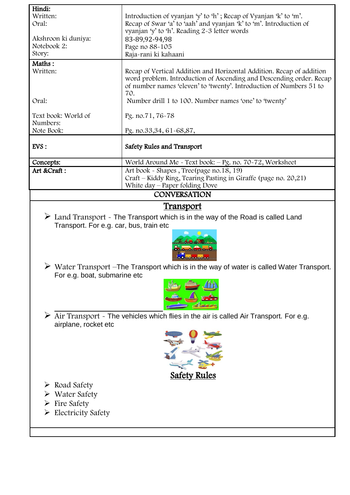| Hindi:                                                                                                      |                                                                                                          |  |  |  |  |
|-------------------------------------------------------------------------------------------------------------|----------------------------------------------------------------------------------------------------------|--|--|--|--|
| Written:                                                                                                    | Introduction of vyanjan 'y' to 'h'; Recap of Vyanjan 'k' to 'm'.                                         |  |  |  |  |
| Oral:                                                                                                       | Recap of Swar 'a' to 'aah' and vyanjan 'k' to 'm'. Introduction of                                       |  |  |  |  |
|                                                                                                             | vyanjan 'y' to 'h'. Reading 2-3 letter words                                                             |  |  |  |  |
| Akshroon ki duniya:                                                                                         | 83-89,92-94,98                                                                                           |  |  |  |  |
| Notebook 2:                                                                                                 | Page no 88-105                                                                                           |  |  |  |  |
| Story:                                                                                                      | Raja-rani ki kahaani                                                                                     |  |  |  |  |
| Maths:                                                                                                      |                                                                                                          |  |  |  |  |
| Written:                                                                                                    | Recap of Vertical Addition and Horizontal Addition. Recap of addition                                    |  |  |  |  |
|                                                                                                             | word problem. Introduction of Ascending and Descending order. Recap                                      |  |  |  |  |
|                                                                                                             | of number names 'eleven' to 'twenty'. Introduction of Numbers 51 to                                      |  |  |  |  |
|                                                                                                             | 70.                                                                                                      |  |  |  |  |
| Oral:                                                                                                       | Number drill 1 to 100. Number names 'one' to 'twenty'                                                    |  |  |  |  |
|                                                                                                             |                                                                                                          |  |  |  |  |
| Text book: World of                                                                                         | Pg. no.71, 76-78                                                                                         |  |  |  |  |
| Numbers:                                                                                                    |                                                                                                          |  |  |  |  |
| Note Book:                                                                                                  | Pg. no.33,34, 61-68,87,                                                                                  |  |  |  |  |
|                                                                                                             |                                                                                                          |  |  |  |  |
| EVS:                                                                                                        | Safety Rules and Transport                                                                               |  |  |  |  |
|                                                                                                             |                                                                                                          |  |  |  |  |
| Concepts:                                                                                                   | World Around Me - Text book: - Pg. no. 70-72, Worksheet                                                  |  |  |  |  |
| Art &Craft:                                                                                                 | Art book - Shapes, Tree(page no.18, 19)                                                                  |  |  |  |  |
|                                                                                                             | Craft - Kiddy Ring, Tearing Pasting in Giraffe (page no. 20,21)                                          |  |  |  |  |
|                                                                                                             | White day - Paper folding Dove                                                                           |  |  |  |  |
|                                                                                                             | <b>CONVERSATION</b>                                                                                      |  |  |  |  |
|                                                                                                             | <u>Transport</u>                                                                                         |  |  |  |  |
|                                                                                                             |                                                                                                          |  |  |  |  |
|                                                                                                             | $\triangleright$ Land Transport $\sim$ The Transport which is in the way of the Road is called Land      |  |  |  |  |
| Transport. For e.g. car, bus, train etc                                                                     |                                                                                                          |  |  |  |  |
|                                                                                                             |                                                                                                          |  |  |  |  |
|                                                                                                             |                                                                                                          |  |  |  |  |
|                                                                                                             |                                                                                                          |  |  |  |  |
|                                                                                                             | <b>O</b> 00000000                                                                                        |  |  |  |  |
|                                                                                                             | $\triangleright$ Water Transport - The Transport which is in the way of water is called Water Transport. |  |  |  |  |
| For e.g. boat, submarine etc                                                                                |                                                                                                          |  |  |  |  |
|                                                                                                             |                                                                                                          |  |  |  |  |
|                                                                                                             |                                                                                                          |  |  |  |  |
|                                                                                                             |                                                                                                          |  |  |  |  |
|                                                                                                             |                                                                                                          |  |  |  |  |
|                                                                                                             |                                                                                                          |  |  |  |  |
| $\triangleright$ Air Transport $\sim$ The vehicles which flies in the air is called Air Transport. For e.g. |                                                                                                          |  |  |  |  |
| airplane, rocket etc                                                                                        |                                                                                                          |  |  |  |  |
|                                                                                                             |                                                                                                          |  |  |  |  |
|                                                                                                             |                                                                                                          |  |  |  |  |
|                                                                                                             |                                                                                                          |  |  |  |  |
|                                                                                                             |                                                                                                          |  |  |  |  |
|                                                                                                             |                                                                                                          |  |  |  |  |
| <b>Safety Rules</b>                                                                                         |                                                                                                          |  |  |  |  |
| $\triangleright$ Road Safety                                                                                |                                                                                                          |  |  |  |  |
| Water Safety                                                                                                |                                                                                                          |  |  |  |  |
|                                                                                                             |                                                                                                          |  |  |  |  |
| Fire Safety                                                                                                 |                                                                                                          |  |  |  |  |
| $\triangleright$ Electricity Safety                                                                         |                                                                                                          |  |  |  |  |
|                                                                                                             |                                                                                                          |  |  |  |  |